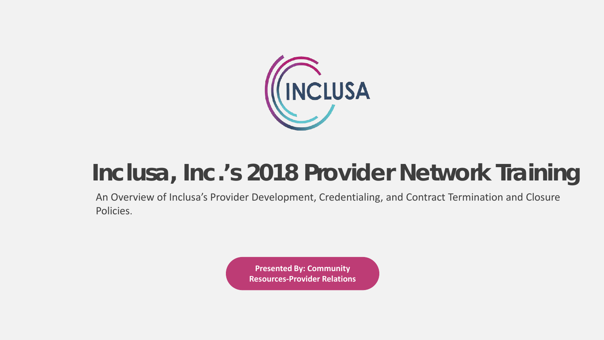

# **Inclusa, Inc.'s 2018 Provider Network Training**

An Overview of Inclusa's Provider Development, Credentialing, and Contract Termination and Closure Policies.

> **Presented By: Community Resources-Provider Relations**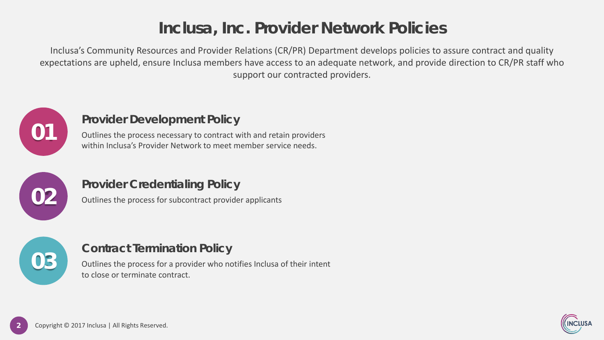### **Inclusa, Inc. Provider Network Policies**

Inclusa's Community Resources and Provider Relations (CR/PR) Department develops policies to assure contract and quality expectations are upheld, ensure Inclusa members have access to an adequate network, and provide direction to CR/PR staff who support our contracted providers.



### **Provider Development Policy**

Outlines the process necessary to contract with and retain providers within Inclusa's Provider Network to meet member service needs.



### **Provider Credentialing Policy**

Outlines the process for subcontract provider applicants



### **Contract Termination Policy**

Outlines the process for a provider who notifies Inclusa of their intent to close or terminate contract.

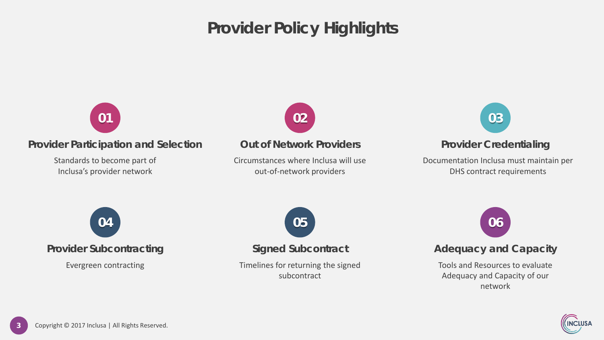### **Provider Policy Highlights**



#### **Provider Participation and Selection**

Standards to become part of Inclusa's provider network



#### **Out of Network Providers**

Circumstances where Inclusa will use out-of-network providers



#### **Provider Credentialing**

Documentation Inclusa must maintain per DHS contract requirements



#### **Provider Subcontracting**

Evergreen contracting



#### **Signed Subcontract**

Timelines for returning the signed subcontract



### **Adequacy and Capacity**

Tools and Resources to evaluate Adequacy and Capacity of our network

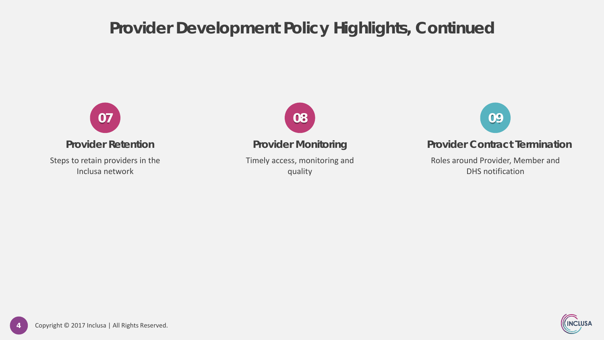### **Provider Development Policy Highlights, Continued**



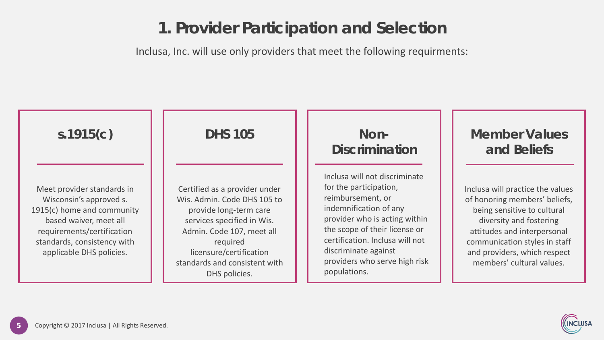### **1. Provider Participation and Selection**

Inclusa, Inc. will use only providers that meet the following requirments:



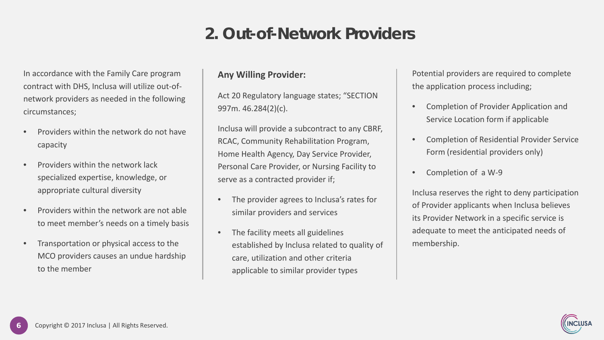### **2. Out-of-Network Providers**

In accordance with the Family Care program contract with DHS, Inclusa will utilize out-ofnetwork providers as needed in the following circumstances;

- Providers within the network do not have capacity
- Providers within the network lack specialized expertise, knowledge, or appropriate cultural diversity
- Providers within the network are not able to meet member's needs on a timely basis
- Transportation or physical access to the MCO providers causes an undue hardship to the member

#### **Any Willing Provider:**

Act 20 Regulatory language states; "SECTION 997m. 46.284(2)(c).

Inclusa will provide a subcontract to any CBRF, RCAC, Community Rehabilitation Program, Home Health Agency, Day Service Provider, Personal Care Provider, or Nursing Facility to serve as a contracted provider if;

- The provider agrees to Inclusa's rates for similar providers and services
- The facility meets all guidelines established by Inclusa related to quality of care, utilization and other criteria applicable to similar provider types

Potential providers are required to complete the application process including;

- Completion of Provider Application and Service Location form if applicable
- Completion of Residential Provider Service Form (residential providers only)
- Completion of a W-9

Inclusa reserves the right to deny participation of Provider applicants when Inclusa believes its Provider Network in a specific service is adequate to meet the anticipated needs of membership.

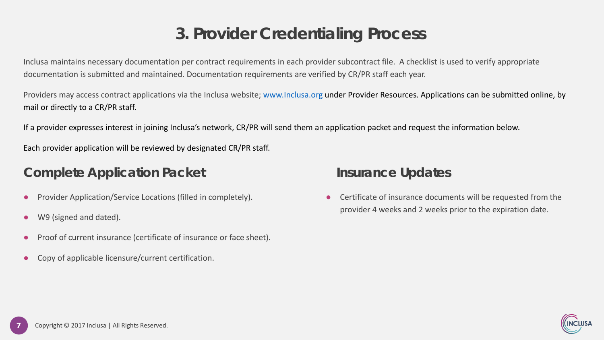### **3. Provider Credentialing Process**

Inclusa maintains necessary documentation per contract requirements in each provider subcontract file. A checklist is used to verify appropriate documentation is submitted and maintained. Documentation requirements are verified by CR/PR staff each year.

Providers may access contract applications via the Inclusa website; [www.Inclusa.org](http://www.inclusa.org/) under Provider Resources. Applications can be submitted online, by mail or directly to a CR/PR staff.

If a provider expresses interest in joining Inclusa's network, CR/PR will send them an application packet and request the information below.

Each provider application will be reviewed by designated CR/PR staff.

### **Complete Application Packet Insurance Updates**

- Provider Application/Service Locations (filled in completely).
- W9 (signed and dated).
- Proof of current insurance (certificate of insurance or face sheet).
- Copy of applicable licensure/current certification.

● Certificate of insurance documents will be requested from the provider 4 weeks and 2 weeks prior to the expiration date.

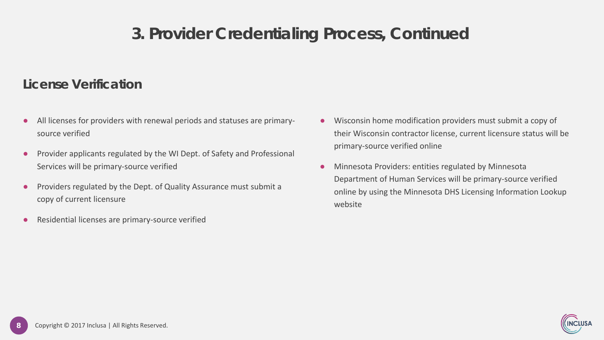### **3. Provider Credentialing Process, Continued**

### **License Verification**

- All licenses for providers with renewal periods and statuses are primarysource verified
- Provider applicants regulated by the WI Dept. of Safety and Professional Services will be primary-source verified
- Providers regulated by the Dept. of Quality Assurance must submit a copy of current licensure
- Residential licenses are primary-source verified
- Wisconsin home modification providers must submit a copy of their Wisconsin contractor license, current licensure status will be primary-source verified online
- Minnesota Providers: entities regulated by Minnesota Department of Human Services will be primary-source verified online by using the Minnesota DHS Licensing Information Lookup website

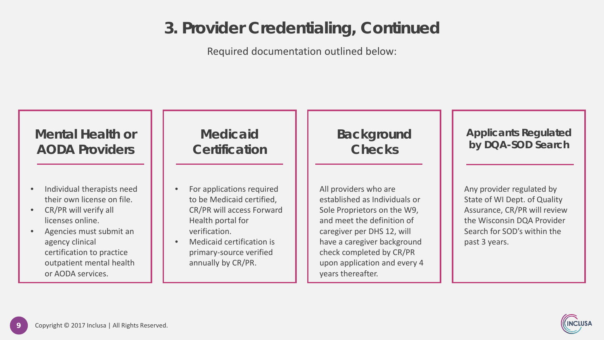### **3. Provider Credentialing, Continued**

Required documentation outlined below:



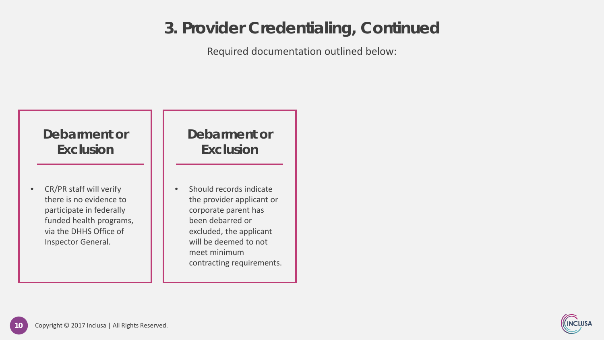### **3. Provider Credentialing, Continued**

Required documentation outlined below:



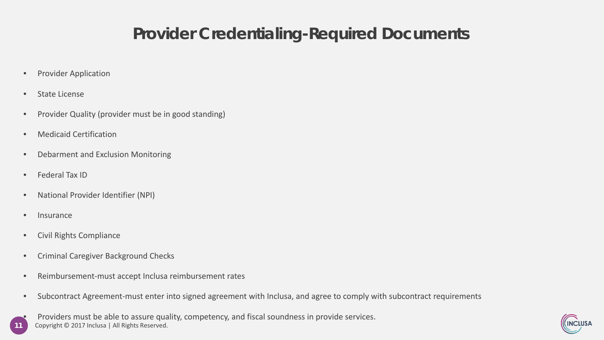### **Provider Credentialing-Required Documents**

- Provider Application
- State License
- Provider Quality (provider must be in good standing)
- Medicaid Certification
- Debarment and Exclusion Monitoring
- Federal Tax ID
- National Provider Identifier (NPI)
- Insurance
- Civil Rights Compliance
- Criminal Caregiver Background Checks
- Reimbursement-must accept Inclusa reimbursement rates
- Subcontract Agreement-must enter into signed agreement with Inclusa, and agree to comply with subcontract requirements
- **11** Copyright © 2017 Inclusa | All Rights Reserved. • Providers must be able to assure quality, competency, and fiscal soundness in provide services.

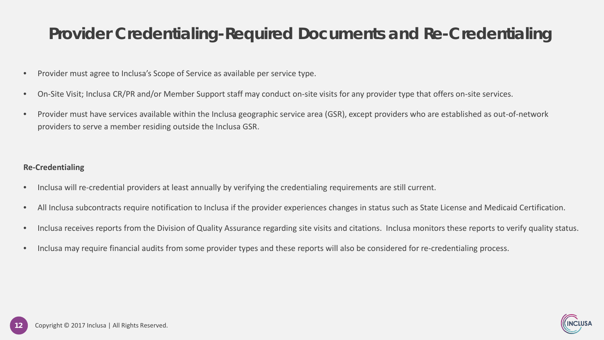### **Provider Credentialing-Required Documents and Re-Credentialing**

- Provider must agree to Inclusa's Scope of Service as available per service type.
- On-Site Visit; Inclusa CR/PR and/or Member Support staff may conduct on-site visits for any provider type that offers on-site services.
- Provider must have services available within the Inclusa geographic service area (GSR), except providers who are established as out-of-network providers to serve a member residing outside the Inclusa GSR.

#### **Re-Credentialing**

- Inclusa will re-credential providers at least annually by verifying the credentialing requirements are still current.
- All Inclusa subcontracts require notification to Inclusa if the provider experiences changes in status such as State License and Medicaid Certification.
- Inclusa receives reports from the Division of Quality Assurance regarding site visits and citations. Inclusa monitors these reports to verify quality status.
- Inclusa may require financial audits from some provider types and these reports will also be considered for re-credentialing process.

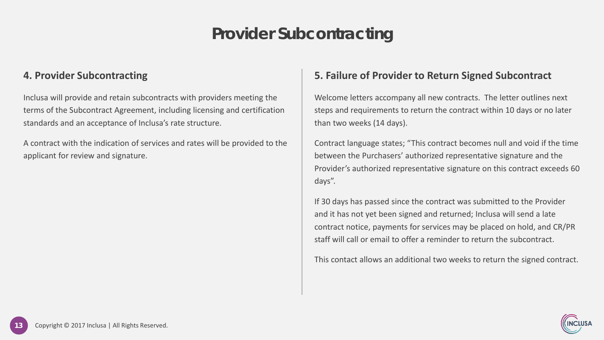### **Provider Subcontracting**

#### **4. Provider Subcontracting**

Inclusa will provide and retain subcontracts with providers meeting the terms of the Subcontract Agreement, including licensing and certification standards and an acceptance of Inclusa's rate structure.

A contract with the indication of services and rates will be provided to the applicant for review and signature.

#### **5. Failure of Provider to Return Signed Subcontract**

Welcome letters accompany all new contracts. The letter outlines next steps and requirements to return the contract within 10 days or no later than two weeks (14 days).

Contract language states; "This contract becomes null and void if the time between the Purchasers' authorized representative signature and the Provider's authorized representative signature on this contract exceeds 60 days".

If 30 days has passed since the contract was submitted to the Provider and it has not yet been signed and returned; Inclusa will send a late contract notice, payments for services may be placed on hold, and CR/PR staff will call or email to offer a reminder to return the subcontract.

This contact allows an additional two weeks to return the signed contract.

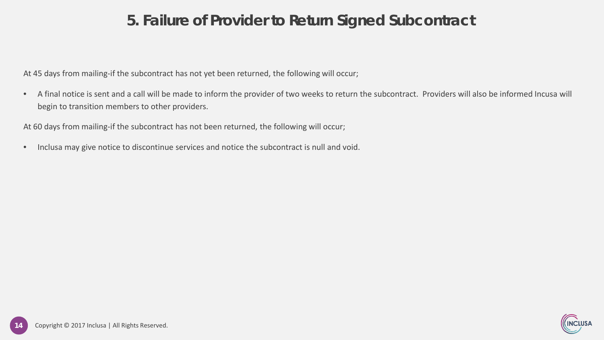### **5. Failure of Provider to Return Signed Subcontract**

At 45 days from mailing-if the subcontract has not yet been returned, the following will occur;

• A final notice is sent and a call will be made to inform the provider of two weeks to return the subcontract. Providers will also be informed Incusa will begin to transition members to other providers.

At 60 days from mailing-if the subcontract has not been returned, the following will occur;

• Inclusa may give notice to discontinue services and notice the subcontract is null and void.

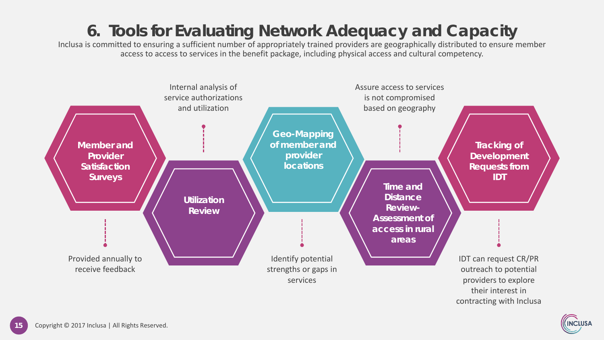## **6. Tools for Evaluating Network Adequacy and Capacity**

Inclusa is committed to ensuring a sufficient number of appropriately trained providers are geographically distributed to ensure member access to access to services in the benefit package, including physical access and cultural competency.



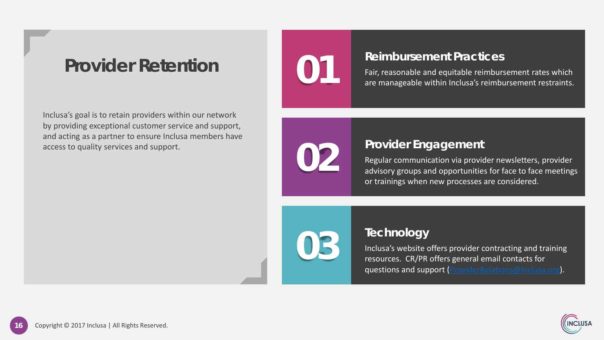## **Provider Retention**

Inclusa's goal is to retain providers within our network by providing exceptional customer service and support, and acting as a partner to ensure Inclusa members have access to quality services and support.



### **Reimbursement Practices**

Fair, reasonable and equitable reimbursement rates which are manageable within Inclusa's reimbursement restraints.



### **Provider Engagement**

Regular communication via provider newsletters, provider advisory groups and opportunities for face to face meetings or trainings when new processes are considered.



### **Technology**

Inclusa's website offers provider contracting and training resources. CR/PR offers general email contacts for questions and support ([ProviderRelations@Inclusa.org\)](mailto:ProviderRelations@Inclusa.org).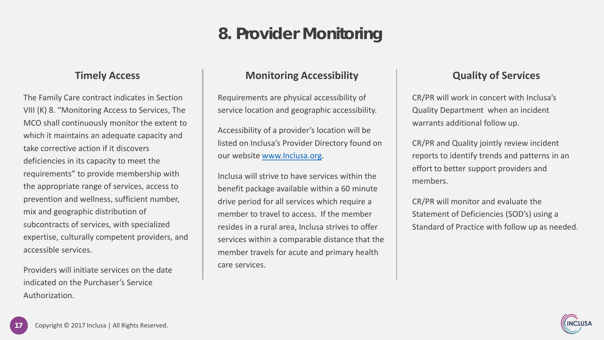### **8. Provider Monitoring**

#### **Timely Access**

The Family Care contract indicates in Section VIII (K) 8. "Monitoring Access to Services, The MCO shall continuously monitor the extent to which it maintains an adequate capacity and take corrective action if it discovers deficiencies in its capacity to meet the requirements" to provide membership with the appropriate range of services, access to prevention and wellness, sufficient number, mix and geographic distribution of subcontracts of services, with specialized expertise, culturally competent providers, and accessible services.

Providers will initiate services on the date indicated on the Purchaser's Service Authorization.

#### **Monitoring Accessibility**

Requirements are physical accessibility of service location and geographic accessibility.

Accessibility of a provider's location will be listed on Inclusa's Provider Directory found on our website [www.Inclusa.org](http://www.inclusa.org/).

Inclusa will strive to have services within the benefit package available within a 60 minute drive period for all services which require a member to travel to access. If the member resides in a rural area, Inclusa strives to offer services within a comparable distance that the member travels for acute and primary health care services.

#### **Quality of Services**

CR/PR will work in concert with Inclusa's Quality Department when an incident warrants additional follow up.

CR/PR and Quality jointly review incident reports to identify trends and patterns in an effort to better support providers and members.

CR/PR will monitor and evaluate the Statement of Deficiencies (SOD's) using a Standard of Practice with follow up as needed.

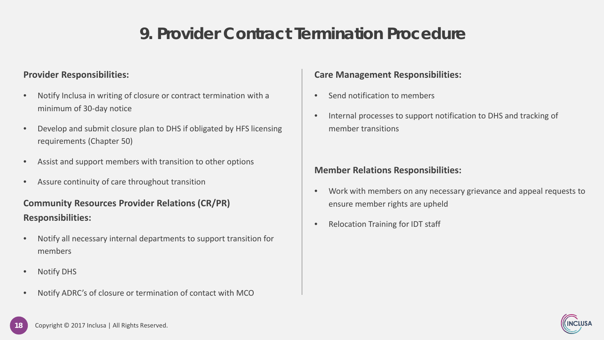### **9. Provider Contract Termination Procedure**

#### **Provider Responsibilities:**

- Notify Inclusa in writing of closure or contract termination with a minimum of 30-day notice
- Develop and submit closure plan to DHS if obligated by HFS licensing requirements (Chapter 50)
- Assist and support members with transition to other options
- Assure continuity of care throughout transition

#### **Community Resources Provider Relations (CR/PR) Responsibilities:**

- Notify all necessary internal departments to support transition for members
- Notify DHS
- Notify ADRC's of closure or termination of contact with MCO

#### **Care Management Responsibilities:**

- Send notification to members
- Internal processes to support notification to DHS and tracking of member transitions

#### **Member Relations Responsibilities:**

- Work with members on any necessary grievance and appeal requests to ensure member rights are upheld
- Relocation Training for IDT staff